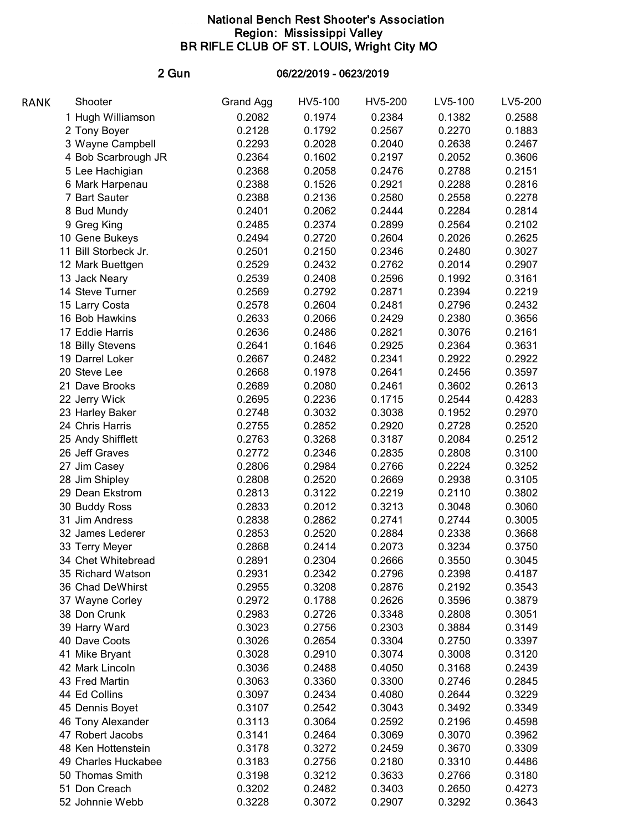## National Bench Rest Shooter's Association Region: Mississippi Valley BR RIFLE CLUB OF ST. LOUIS, Wright City MO

## 2 Gun 06/22/2019 - 0623/2019

| RANK | Shooter                             | Grand Agg | HV5-100 | HV5-200 | LV5-100 | LV5-200 |
|------|-------------------------------------|-----------|---------|---------|---------|---------|
|      | 1 Hugh Williamson                   | 0.2082    | 0.1974  | 0.2384  | 0.1382  | 0.2588  |
|      | 2 Tony Boyer                        | 0.2128    | 0.1792  | 0.2567  | 0.2270  | 0.1883  |
|      | 3 Wayne Campbell                    | 0.2293    | 0.2028  | 0.2040  | 0.2638  | 0.2467  |
|      | 4 Bob Scarbrough JR                 | 0.2364    | 0.1602  | 0.2197  | 0.2052  | 0.3606  |
|      | 5 Lee Hachigian                     | 0.2368    | 0.2058  | 0.2476  | 0.2788  | 0.2151  |
|      | 6 Mark Harpenau                     | 0.2388    | 0.1526  | 0.2921  | 0.2288  | 0.2816  |
|      | 7 Bart Sauter                       | 0.2388    | 0.2136  | 0.2580  | 0.2558  | 0.2278  |
|      | 8 Bud Mundy                         | 0.2401    | 0.2062  | 0.2444  | 0.2284  | 0.2814  |
|      | 9 Greg King                         | 0.2485    | 0.2374  | 0.2899  | 0.2564  | 0.2102  |
|      | 10 Gene Bukeys                      | 0.2494    | 0.2720  | 0.2604  | 0.2026  | 0.2625  |
|      | 11 Bill Storbeck Jr.                | 0.2501    | 0.2150  | 0.2346  | 0.2480  | 0.3027  |
|      | 12 Mark Buettgen                    | 0.2529    | 0.2432  | 0.2762  | 0.2014  | 0.2907  |
|      | 13 Jack Neary                       | 0.2539    | 0.2408  | 0.2596  | 0.1992  | 0.3161  |
|      | 14 Steve Turner                     | 0.2569    | 0.2792  | 0.2871  | 0.2394  | 0.2219  |
|      | 15 Larry Costa                      | 0.2578    | 0.2604  | 0.2481  | 0.2796  | 0.2432  |
|      | 16 Bob Hawkins                      | 0.2633    | 0.2066  | 0.2429  | 0.2380  | 0.3656  |
|      | 17 Eddie Harris                     | 0.2636    |         | 0.2821  |         |         |
|      |                                     |           | 0.2486  |         | 0.3076  | 0.2161  |
|      | 18 Billy Stevens<br>19 Darrel Loker | 0.2641    | 0.1646  | 0.2925  | 0.2364  | 0.3631  |
|      |                                     | 0.2667    | 0.2482  | 0.2341  | 0.2922  | 0.2922  |
|      | 20 Steve Lee                        | 0.2668    | 0.1978  | 0.2641  | 0.2456  | 0.3597  |
|      | 21 Dave Brooks                      | 0.2689    | 0.2080  | 0.2461  | 0.3602  | 0.2613  |
|      | 22 Jerry Wick                       | 0.2695    | 0.2236  | 0.1715  | 0.2544  | 0.4283  |
|      | 23 Harley Baker                     | 0.2748    | 0.3032  | 0.3038  | 0.1952  | 0.2970  |
|      | 24 Chris Harris                     | 0.2755    | 0.2852  | 0.2920  | 0.2728  | 0.2520  |
|      | 25 Andy Shifflett                   | 0.2763    | 0.3268  | 0.3187  | 0.2084  | 0.2512  |
|      | 26 Jeff Graves                      | 0.2772    | 0.2346  | 0.2835  | 0.2808  | 0.3100  |
|      | 27 Jim Casey                        | 0.2806    | 0.2984  | 0.2766  | 0.2224  | 0.3252  |
|      | 28 Jim Shipley                      | 0.2808    | 0.2520  | 0.2669  | 0.2938  | 0.3105  |
|      | 29 Dean Ekstrom                     | 0.2813    | 0.3122  | 0.2219  | 0.2110  | 0.3802  |
|      | 30 Buddy Ross                       | 0.2833    | 0.2012  | 0.3213  | 0.3048  | 0.3060  |
|      | 31 Jim Andress                      | 0.2838    | 0.2862  | 0.2741  | 0.2744  | 0.3005  |
|      | 32 James Lederer                    | 0.2853    | 0.2520  | 0.2884  | 0.2338  | 0.3668  |
|      | 33 Terry Meyer                      | 0.2868    | 0.2414  | 0.2073  | 0.3234  | 0.3750  |
|      | 34 Chet Whitebread                  | 0.2891    | 0.2304  | 0.2666  | 0.3550  | 0.3045  |
|      | 35 Richard Watson                   | 0.2931    | 0.2342  | 0.2796  | 0.2398  | 0.4187  |
|      | 36 Chad DeWhirst                    | 0.2955    | 0.3208  | 0.2876  | 0.2192  | 0.3543  |
|      | 37 Wayne Corley                     | 0.2972    | 0.1788  | 0.2626  | 0.3596  | 0.3879  |
|      | 38 Don Crunk                        | 0.2983    | 0.2726  | 0.3348  | 0.2808  | 0.3051  |
|      | 39 Harry Ward                       | 0.3023    | 0.2756  | 0.2303  | 0.3884  | 0.3149  |
|      | 40 Dave Coots                       | 0.3026    | 0.2654  | 0.3304  | 0.2750  | 0.3397  |
|      | 41 Mike Bryant                      | 0.3028    | 0.2910  | 0.3074  | 0.3008  | 0.3120  |
|      | 42 Mark Lincoln                     | 0.3036    | 0.2488  | 0.4050  | 0.3168  | 0.2439  |
|      | 43 Fred Martin                      | 0.3063    | 0.3360  | 0.3300  | 0.2746  | 0.2845  |
|      | 44 Ed Collins                       | 0.3097    | 0.2434  | 0.4080  | 0.2644  | 0.3229  |
|      | 45 Dennis Boyet                     | 0.3107    | 0.2542  | 0.3043  | 0.3492  | 0.3349  |
|      | 46 Tony Alexander                   | 0.3113    | 0.3064  | 0.2592  | 0.2196  | 0.4598  |
|      | 47 Robert Jacobs                    | 0.3141    | 0.2464  | 0.3069  | 0.3070  | 0.3962  |
|      | 48 Ken Hottenstein                  | 0.3178    | 0.3272  | 0.2459  | 0.3670  | 0.3309  |
|      | 49 Charles Huckabee                 | 0.3183    | 0.2756  | 0.2180  | 0.3310  | 0.4486  |
|      | 50 Thomas Smith                     | 0.3198    | 0.3212  | 0.3633  | 0.2766  | 0.3180  |
|      | 51 Don Creach                       | 0.3202    | 0.2482  | 0.3403  | 0.2650  | 0.4273  |
|      | 52 Johnnie Webb                     | 0.3228    | 0.3072  | 0.2907  | 0.3292  | 0.3643  |